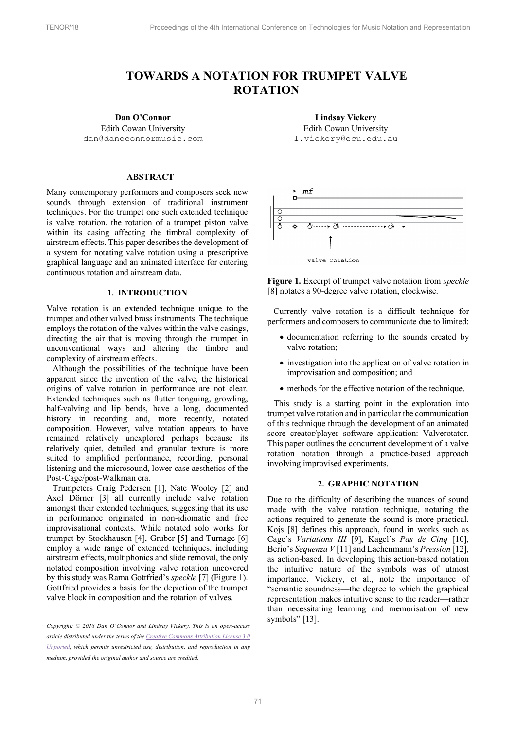# **TOWARDS A NOTATION FOR TRUMPET VALVE ROTATION**

## **Dan O'Connor**

Edith Cowan University dan@danoconnormusic.com

## **ABSTRACT**

Many contemporary performers and composers seek new sounds through extension of traditional instrument techniques. For the trumpet one such extended technique is valve rotation, the rotation of a trumpet piston valve within its casing affecting the timbral complexity of airstream effects. This paper describes the development of a system for notating valve rotation using a prescriptive graphical language and an animated interface for entering continuous rotation and airstream data.

## **1. INTRODUCTION**

Valve rotation is an extended technique unique to the trumpet and other valved brass instruments. The technique employs the rotation of the valves within the valve casings, directing the air that is moving through the trumpet in unconventional ways and altering the timbre and complexity of airstream effects.

Although the possibilities of the technique have been apparent since the invention of the valve, the historical origins of valve rotation in performance are not clear. Extended techniques such as flutter tonguing, growling, half-valving and lip bends, have a long, documented history in recording and, more recently, notated composition. However, valve rotation appears to have remained relatively unexplored perhaps because its relatively quiet, detailed and granular texture is more suited to amplified performance, recording, personal listening and the microsound, lower-case aesthetics of the Post-Cage/post-Walkman era.

Trumpeters Craig Pedersen [1], Nate Wooley [2] and Axel Dörner [3] all currently include valve rotation amongst their extended techniques, suggesting that its use in performance originated in non-idiomatic and free improvisational contexts. While notated solo works for trumpet by Stockhausen [4], Gruber [5] and Turnage [6] employ a wide range of extended techniques, including airstream effects, multiphonics and slide removal, the only notated composition involving valve rotation uncovered by this study was Rama Gottfried's *speckle* [7] (Figure 1). Gottfried provides a basis for the depiction of the trumpet valve block in composition and the rotation of valves.

*Copyright: © 2018 Dan O'Connor and Lindsay Vickery. This is an open-access article distributed under the terms of the Creative Commons Attribution License 3.0 Unported, which permits unrestricted use, distribution, and reproduction in any medium, provided the original author and source are credited.*

**Lindsay Vickery**  Edith Cowan University l.vickery@ecu.edu.au



**Figure 1.** Excerpt of trumpet valve notation from *speckle* [8] notates a 90-degree valve rotation, clockwise.

Currently valve rotation is a difficult technique for performers and composers to communicate due to limited:

- documentation referring to the sounds created by valve rotation;
- investigation into the application of valve rotation in improvisation and composition; and
- methods for the effective notation of the technique.

This study is a starting point in the exploration into trumpet valve rotation and in particular the communication of this technique through the development of an animated score creator/player software application: Valverotator. This paper outlines the concurrent development of a valve rotation notation through a practice-based approach involving improvised experiments.

## **2. GRAPHIC NOTATION**

Due to the difficulty of describing the nuances of sound made with the valve rotation technique, notating the actions required to generate the sound is more practical. Kojs [8] defines this approach, found in works such as Cage's *Variations III* [9], Kagel's *Pas de Cinq* [10], Berio's *Sequenza V* [11] and Lachenmann's *Pression* [12], as action-based. In developing this action-based notation the intuitive nature of the symbols was of utmost importance. Vickery, et al., note the importance of "semantic soundness—the degree to which the graphical representation makes intuitive sense to the reader—rather than necessitating learning and memorisation of new symbols" [13].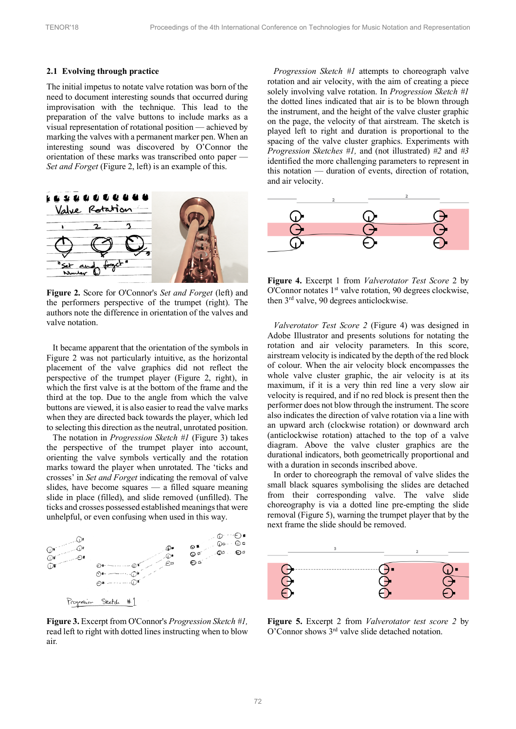#### **2.1 Evolving through practice**

The initial impetus to notate valve rotation was born of the need to document interesting sounds that occurred during improvisation with the technique. This lead to the preparation of the valve buttons to include marks as a visual representation of rotational position — achieved by marking the valves with a permanent marker pen. When an interesting sound was discovered by O'Connor the orientation of these marks was transcribed onto paper — *Set and Forget* (Figure 2, left) is an example of this.



**Figure 2.** Score for O'Connor's *Set and Forget* (left) and the performers perspective of the trumpet (right). The authors note the difference in orientation of the valves and valve notation.

It became apparent that the orientation of the symbols in Figure 2 was not particularly intuitive, as the horizontal placement of the valve graphics did not reflect the perspective of the trumpet player (Figure 2, right), in which the first valve is at the bottom of the frame and the third at the top. Due to the angle from which the valve buttons are viewed, it is also easier to read the valve marks when they are directed back towards the player, which led to selecting this direction as the neutral, unrotated position.

The notation in *Progression Sketch #1* (Figure 3) takes the perspective of the trumpet player into account, orienting the valve symbols vertically and the rotation marks toward the player when unrotated. The 'ticks and crosses' in *Set and Forget* indicating the removal of valve slides, have become squares — a filled square meaning slide in place (filled), and slide removed (unfilled). The ticks and crosses possessed established meanings that were unhelpful, or even confusing when used in this way.



**Figure 3.** Excerpt from O'Connor's *Progression Sketch #1,*  read left to right with dotted lines instructing when to blow air*.*

*Progression Sketch #1* attempts to choreograph valve rotation and air velocity, with the aim of creating a piece solely involving valve rotation. In *Progression Sketch #1*  the dotted lines indicated that air is to be blown through the instrument, and the height of the valve cluster graphic on the page, the velocity of that airstream. The sketch is played left to right and duration is proportional to the spacing of the valve cluster graphics. Experiments with *Progression Sketches #1,* and (not illustrated) *#2* and *#3*  identified the more challenging parameters to represent in this notation — duration of events, direction of rotation, and air velocity.



**Figure 4.** Excerpt 1 from *Valverotator Test Score* 2 by O'Connor notates 1st valve rotation, 90 degrees clockwise, then 3<sup>rd</sup> valve, 90 degrees anticlockwise.

*Valverotator Test Score 2* (Figure 4) was designed in Adobe Illustrator and presents solutions for notating the rotation and air velocity parameters. In this score, airstream velocity is indicated by the depth of the red block of colour. When the air velocity block encompasses the whole valve cluster graphic, the air velocity is at its maximum, if it is a very thin red line a very slow air velocity is required, and if no red block is present then the performer does not blow through the instrument. The score also indicates the direction of valve rotation via a line with an upward arch (clockwise rotation) or downward arch (anticlockwise rotation) attached to the top of a valve diagram. Above the valve cluster graphics are the durational indicators, both geometrically proportional and with a duration in seconds inscribed above.

In order to choreograph the removal of valve slides the small black squares symbolising the slides are detached from their corresponding valve. The valve slide choreography is via a dotted line pre-empting the slide removal (Figure 5), warning the trumpet player that by the next frame the slide should be removed.



**Figure 5.** Excerpt 2 from *Valverotator test score 2* by O'Connor shows 3rd valve slide detached notation.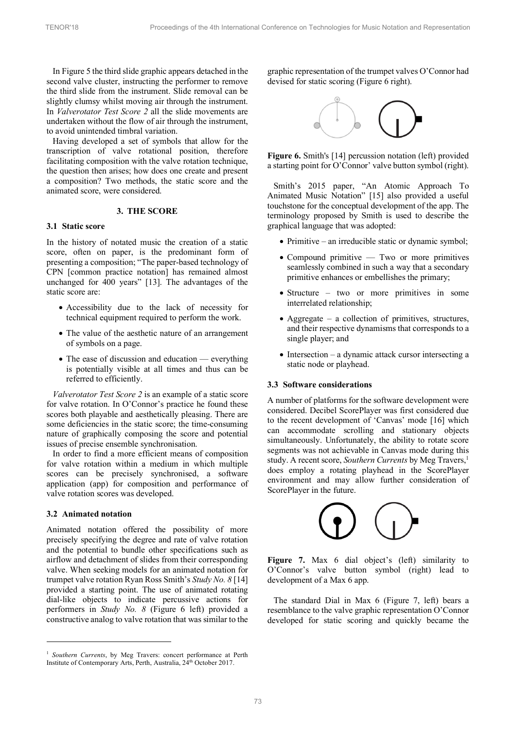In Figure 5 the third slide graphic appears detached in the second valve cluster, instructing the performer to remove the third slide from the instrument. Slide removal can be slightly clumsy whilst moving air through the instrument. In *Valverotator Test Score 2* all the slide movements are undertaken without the flow of air through the instrument, to avoid unintended timbral variation.

Having developed a set of symbols that allow for the transcription of valve rotational position, therefore facilitating composition with the valve rotation technique, the question then arises; how does one create and present a composition? Two methods, the static score and the animated score, were considered.

## **3. THE SCORE**

## **3.1 Static score**

In the history of notated music the creation of a static score, often on paper, is the predominant form of presenting a composition; "The paper-based technology of CPN [common practice notation] has remained almost unchanged for 400 years" [13]. The advantages of the static score are:

- Accessibility due to the lack of necessity for technical equipment required to perform the work.
- The value of the aesthetic nature of an arrangement of symbols on a page.
- The ease of discussion and education everything is potentially visible at all times and thus can be referred to efficiently.

*Valverotator Test Score 2* is an example of a static score for valve rotation. In O'Connor's practice he found these scores both playable and aesthetically pleasing. There are some deficiencies in the static score; the time-consuming nature of graphically composing the score and potential issues of precise ensemble synchronisation.

In order to find a more efficient means of composition for valve rotation within a medium in which multiple scores can be precisely synchronised, a software application (app) for composition and performance of valve rotation scores was developed.

#### **3.2 Animated notation**

Animated notation offered the possibility of more precisely specifying the degree and rate of valve rotation and the potential to bundle other specifications such as airflow and detachment of slides from their corresponding valve. When seeking models for an animated notation for trumpet valve rotation Ryan Ross Smith's *Study No. 8* [14] provided a starting point. The use of animated rotating dial-like objects to indicate percussive actions for performers in *Study No. 8* (Figure 6 left) provided a constructive analog to valve rotation that was similar to the

graphic representation of the trumpet valves O'Connor had devised for static scoring (Figure 6 right).



**Figure 6.** Smith's [14] percussion notation (left) provided a starting point for O'Connor' valve button symbol (right).

Smith's 2015 paper, "An Atomic Approach To Animated Music Notation" [15] also provided a useful touchstone for the conceptual development of the app. The terminology proposed by Smith is used to describe the graphical language that was adopted:

- Primitive an irreducible static or dynamic symbol;
- Compound primitive Two or more primitives seamlessly combined in such a way that a secondary primitive enhances or embellishes the primary;
- Structure two or more primitives in some interrelated relationship;
- Aggregate  $-$  a collection of primitives, structures, and their respective dynamisms that corresponds to a single player; and
- Intersection a dynamic attack cursor intersecting a static node or playhead.

# **3.3 Software considerations**

A number of platforms for the software development were considered. Decibel ScorePlayer was first considered due to the recent development of 'Canvas' mode [16] which can accommodate scrolling and stationary objects simultaneously. Unfortunately, the ability to rotate score segments was not achievable in Canvas mode during this study. A recent score, *Southern Currents* by Meg Travers,<sup>1</sup> does employ a rotating playhead in the ScorePlayer environment and may allow further consideration of ScorePlayer in the future.



Figure 7. Max 6 dial object's (left) similarity to O'Connor's valve button symbol (right) lead to development of a Max 6 app.

The standard Dial in Max 6 (Figure 7, left) bears a resemblance to the valve graphic representation O'Connor developed for static scoring and quickly became the

<sup>&</sup>lt;sup>1</sup> Southern Currents, by Meg Travers: concert performance at Perth Institute of Contemporary Arts, Perth, Australia, 24<sup>th</sup> October 2017.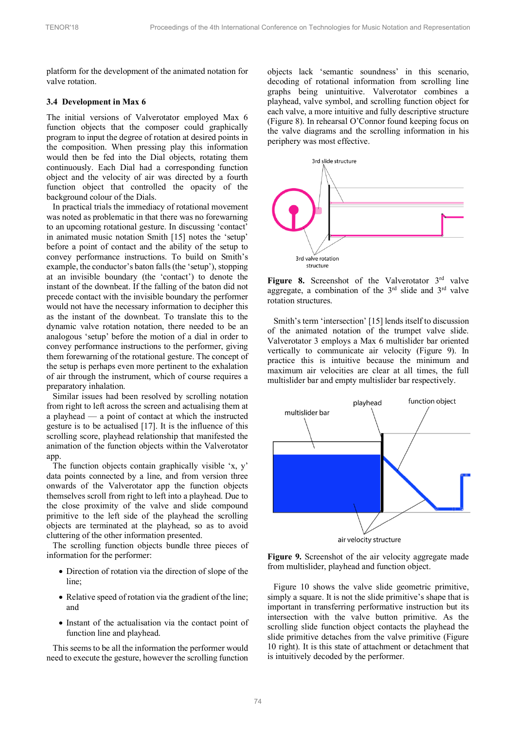platform for the development of the animated notation for valve rotation.

### **3.4 Development in Max 6**

The initial versions of Valverotator employed Max 6 function objects that the composer could graphically program to input the degree of rotation at desired points in the composition. When pressing play this information would then be fed into the Dial objects, rotating them continuously. Each Dial had a corresponding function object and the velocity of air was directed by a fourth function object that controlled the opacity of the background colour of the Dials.

In practical trials the immediacy of rotational movement was noted as problematic in that there was no forewarning to an upcoming rotational gesture. In discussing 'contact' in animated music notation Smith [15] notes the 'setup' before a point of contact and the ability of the setup to convey performance instructions. To build on Smith's example, the conductor's baton falls (the 'setup'), stopping at an invisible boundary (the 'contact') to denote the instant of the downbeat. If the falling of the baton did not precede contact with the invisible boundary the performer would not have the necessary information to decipher this as the instant of the downbeat. To translate this to the dynamic valve rotation notation, there needed to be an analogous 'setup' before the motion of a dial in order to convey performance instructions to the performer, giving them forewarning of the rotational gesture. The concept of the setup is perhaps even more pertinent to the exhalation of air through the instrument, which of course requires a preparatory inhalation.

Similar issues had been resolved by scrolling notation from right to left across the screen and actualising them at a playhead — a point of contact at which the instructed gesture is to be actualised [17]. It is the influence of this scrolling score, playhead relationship that manifested the animation of the function objects within the Valverotator app.

The function objects contain graphically visible 'x, y' data points connected by a line, and from version three onwards of the Valverotator app the function objects themselves scroll from right to left into a playhead. Due to the close proximity of the valve and slide compound primitive to the left side of the playhead the scrolling objects are terminated at the playhead, so as to avoid cluttering of the other information presented.

The scrolling function objects bundle three pieces of information for the performer:

- Direction of rotation via the direction of slope of the line;
- Relative speed of rotation via the gradient of the line; and
- Instant of the actualisation via the contact point of function line and playhead.

This seems to be all the information the performer would need to execute the gesture, however the scrolling function

objects lack 'semantic soundness' in this scenario, decoding of rotational information from scrolling line graphs being unintuitive. Valverotator combines a playhead, valve symbol, and scrolling function object for each valve, a more intuitive and fully descriptive structure (Figure 8). In rehearsal O'Connor found keeping focus on the valve diagrams and the scrolling information in his periphery was most effective.



Figure 8. Screenshot of the Valverotator 3<sup>rd</sup> valve aggregate, a combination of the  $3<sup>rd</sup>$  slide and  $3<sup>rd</sup>$  valve rotation structures.

Smith's term 'intersection' [15] lends itself to discussion of the animated notation of the trumpet valve slide. Valverotator 3 employs a Max 6 multislider bar oriented vertically to communicate air velocity (Figure 9). In practice this is intuitive because the minimum and maximum air velocities are clear at all times, the full multislider bar and empty multislider bar respectively.



**Figure 9.** Screenshot of the air velocity aggregate made from multislider, playhead and function object.

Figure 10 shows the valve slide geometric primitive, simply a square. It is not the slide primitive's shape that is important in transferring performative instruction but its intersection with the valve button primitive. As the scrolling slide function object contacts the playhead the slide primitive detaches from the valve primitive (Figure 10 right). It is this state of attachment or detachment that is intuitively decoded by the performer.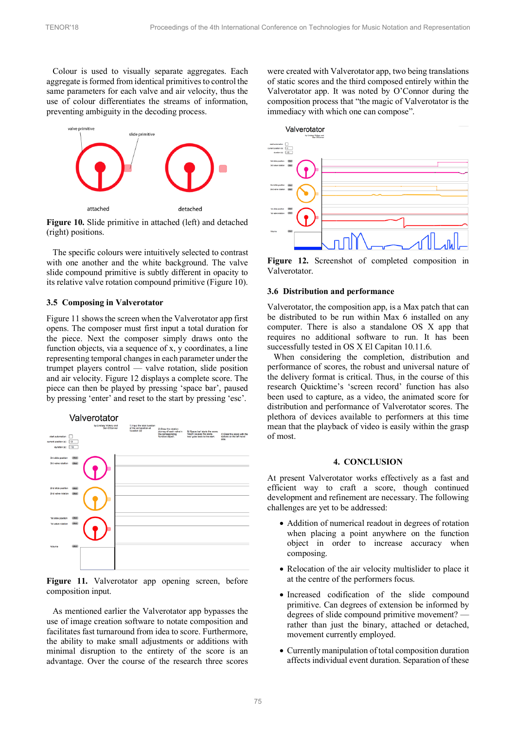Colour is used to visually separate aggregates. Each aggregate is formed from identical primitives to control the same parameters for each valve and air velocity, thus the use of colour differentiates the streams of information, preventing ambiguity in the decoding process.



**Figure 10.** Slide primitive in attached (left) and detached (right) positions.

The specific colours were intuitively selected to contrast with one another and the white background. The valve slide compound primitive is subtly different in opacity to its relative valve rotation compound primitive (Figure 10).

#### **3.5 Composing in Valverotator**

Figure 11 shows the screen when the Valverotator app first opens. The composer must first input a total duration for the piece. Next the composer simply draws onto the function objects, via a sequence of x, y coordinates, a line representing temporal changes in each parameter under the trumpet players control — valve rotation, slide position and air velocity. Figure 12 displays a complete score. The piece can then be played by pressing 'space bar', paused by pressing 'enter' and reset to the start by pressing 'esc'.



Figure 11. Valverotator app opening screen, before composition input.

As mentioned earlier the Valverotator app bypasses the use of image creation software to notate composition and facilitates fast turnaround from idea to score. Furthermore, the ability to make small adjustments or additions with minimal disruption to the entirety of the score is an advantage. Over the course of the research three scores

were created with Valverotator app, two being translations of static scores and the third composed entirely within the Valverotator app. It was noted by O'Connor during the composition process that "the magic of Valverotator is the immediacy with which one can compose".



**Figure 12.** Screenshot of completed composition in Valverotator.

#### **3.6 Distribution and performance**

Valverotator, the composition app, is a Max patch that can be distributed to be run within Max 6 installed on any computer. There is also a standalone OS X app that requires no additional software to run. It has been successfully tested in OS X El Capitan 10.11.6.

When considering the completion, distribution and performance of scores, the robust and universal nature of the delivery format is critical. Thus, in the course of this research Quicktime's 'screen record' function has also been used to capture, as a video, the animated score for distribution and performance of Valverotator scores. The plethora of devices available to performers at this time mean that the playback of video is easily within the grasp of most.

# **4. CONCLUSION**

At present Valverotator works effectively as a fast and efficient way to craft a score, though continued development and refinement are necessary. The following challenges are yet to be addressed:

- Addition of numerical readout in degrees of rotation when placing a point anywhere on the function object in order to increase accuracy when composing.
- Relocation of the air velocity multislider to place it at the centre of the performers focus.
- Increased codification of the slide compound primitive. Can degrees of extension be informed by degrees of slide compound primitive movement? rather than just the binary, attached or detached, movement currently employed.
- Currently manipulation of total composition duration affects individual event duration. Separation of these